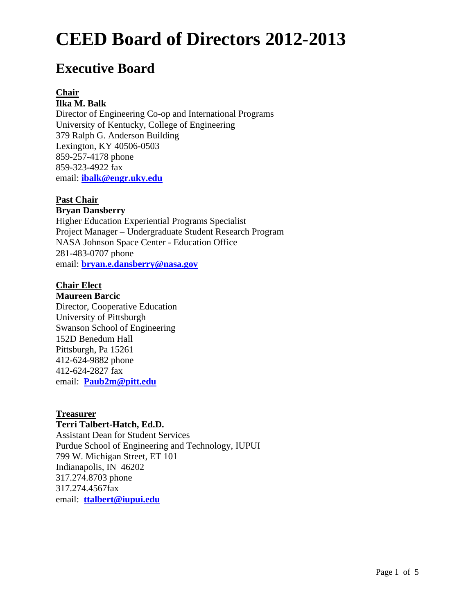# **Executive Board**

#### **Chair Ilka M. Balk**

Director of Engineering Co-op and International Programs University of Kentucky, College of Engineering 379 Ralph G. Anderson Building Lexington, KY 40506-0503 859-257-4178 phone 859-323-4922 fax email: **ibalk@engr.uky.edu**

# **Past Chair**

### **Bryan Dansberry**

Higher Education Experiential Programs Specialist Project Manager – Undergraduate Student Research Program NASA Johnson Space Center - Education Office 281-483-0707 phone email: **bryan.e.dansberry@nasa.gov**

### **Chair Elect**

**Maureen Barcic**  Director, Cooperative Education University of Pittsburgh Swanson School of Engineering 152D Benedum Hall Pittsburgh, Pa 15261 412-624-9882 phone 412-624-2827 fax email: **Paub2m@pitt.edu**

### **Treasurer**

## **Terri Talbert-Hatch, Ed.D.**

Assistant Dean for Student Services Purdue School of Engineering and Technology, IUPUI 799 W. Michigan Street, ET 101 Indianapolis, IN 46202 317.274.8703 phone 317.274.4567fax email: **ttalbert@iupui.edu**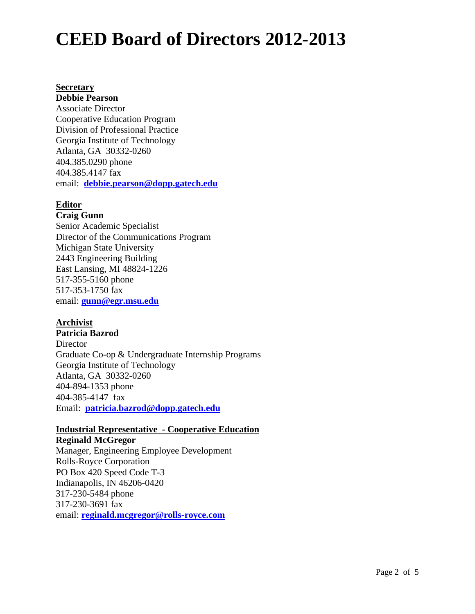### **Secretary**

**Debbie Pearson** Associate Director Cooperative Education Program Division of Professional Practice Georgia Institute of Technology Atlanta, GA 30332-0260 404.385.0290 phone 404.385.4147 fax email: **debbie.pearson@dopp.gatech.edu**

## **Editor**

### **Craig Gunn**

Senior Academic Specialist Director of the Communications Program Michigan State University 2443 Engineering Building East Lansing, MI 48824-1226 517-355-5160 phone 517-353-1750 fax email: **gunn@egr.msu.edu** 

### **Archivist**

**Patricia Bazrod Director** Graduate Co-op & Undergraduate Internship Programs Georgia Institute of Technology Atlanta, GA 30332-0260 404-894-1353 phone 404-385-4147 fax Email: **patricia.bazrod@dopp.gatech.edu**

## **Industrial Representative - Cooperative Education**

## **Reginald McGregor** Manager, Engineering Employee Development Rolls-Royce Corporation PO Box 420 Speed Code T-3 Indianapolis, IN 46206-0420 317-230-5484 phone 317-230-3691 fax email: **reginald.mcgregor@rolls-royce.com**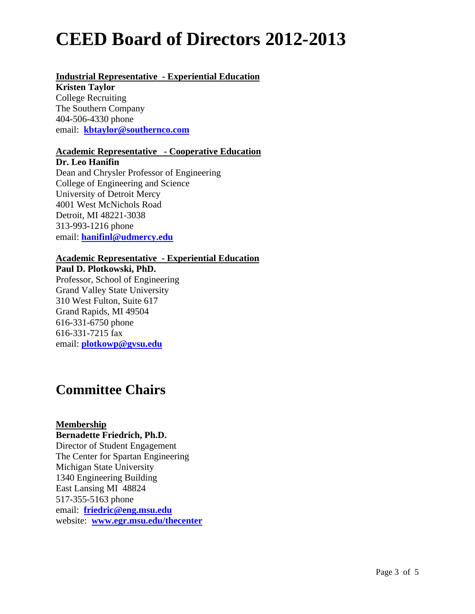# **Industrial Representative - Experiential Education**

**Kristen Taylor** College Recruiting The Southern Company 404-506-4330 phone email: **kbtaylor@southernco.com**

# **Academic Representative - Cooperative Education**

**Dr. Leo Hanifin** Dean and Chrysler Professor of Engineering College of Engineering and Science University of Detroit Mercy 4001 West McNichols Road Detroit, MI 48221-3038 313-993-1216 phone email: **hanifinl@udmercy.edu**

## **Academic Representative - Experiential Education**

# **Paul D. Plotkowski, PhD.**

Professor, School of Engineering Grand Valley State University 310 West Fulton, Suite 617 Grand Rapids, MI 49504 616-331-6750 phone 616-331-7215 fax email: **plotkowp@gvsu.edu**

# **Committee Chairs**

## **Membership**

### **Bernadette Friedrich, Ph.D.**

Director of Student Engagement The Center for Spartan Engineering Michigan State University 1340 Engineering Building East Lansing MI 48824 517-355-5163 phone email: **friedric@eng.msu.edu** website: **www.egr.msu.edu/thecenter**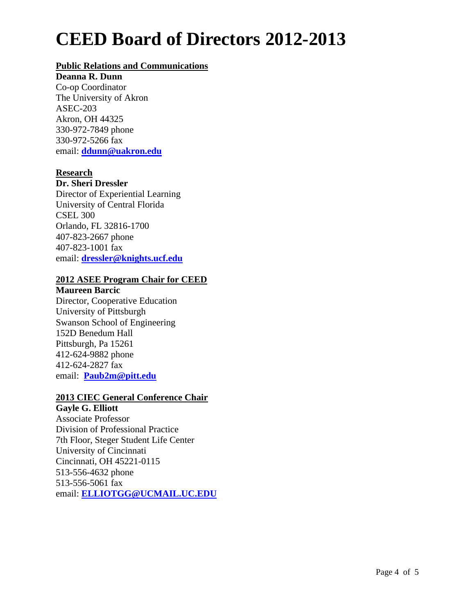## **Public Relations and Communications**

#### **Deanna R. Dunn**

Co-op Coordinator The University of Akron ASEC-203 Akron, OH 44325 330-972-7849 phone 330-972-5266 fax email: **ddunn@uakron.edu**

### **Research**

### **Dr. Sheri Dressler**

Director of Experiential Learning University of Central Florida CSEL 300 Orlando, FL 32816-1700 407-823-2667 phone 407-823-1001 fax email: **dressler@knights.ucf.edu** 

### **2012 ASEE Program Chair for CEED**

**Maureen Barcic**  Director, Cooperative Education University of Pittsburgh Swanson School of Engineering 152D Benedum Hall Pittsburgh, Pa 15261 412-624-9882 phone 412-624-2827 fax email: **Paub2m@pitt.edu**

### **2013 CIEC General Conference Chair**

**Gayle G. Elliott**  Associate Professor Division of Professional Practice 7th Floor, Steger Student Life Center University of Cincinnati Cincinnati, OH 45221-0115 513-556-4632 phone 513-556-5061 fax email: **ELLIOTGG@UCMAIL.UC.EDU**